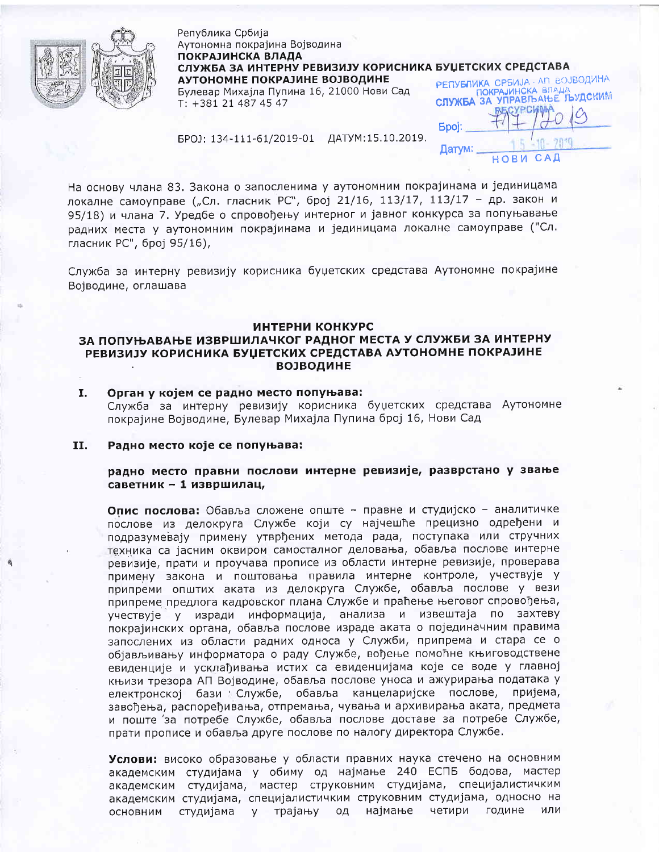

Република Србија Аутономна покрајина Војводина ПОКРАЈИНСКА ВЛАДА СЛУЖБА ЗА ИНТЕРНУ РЕВИЗИЈУ КОРИСНИКА БУЏЕТСКИХ СРЕДСТАВА РЕПУБЛИКА СРБИЈА - АП ВОЈВОДИНА АУТОНОМНЕ ПОКРАЈИНЕ ВОЈВОДИНЕ СЛУЖБА ЗА УПРАВЉАЊЕ ЉУДСКИМ Булевар Михаіла Пупина 16, 21000 Нови Сад  $T: +381214874547$ 

**Spoj:** 

Датум:

 $C A D$ 

HOBM

БРОЈ: 134-111-61/2019-01 ДАТУМ:15.10.2019.

На основу члана 83. Закона о запосленима у аутономним покрајинама и јединицама локалне самоуправе ("Сл. гласник РС", број 21/16, 113/17, 113/17 - др. закон и 95/18) и члана 7. Уредбе о спровођењу интерног и јавног конкурса за попуњавање радних места у аутономним покрајинама и јединицама локалне самоуправе ("Сл. гласник РС", број 95/16),

Служба за интерну ревизију корисника буџетских средстава Аутономне покрајине Војводине, оглашава

### ИНТЕРНИ КОНКУРС

# ЗА ПОПУЊАВАЊЕ ИЗВРШИЛАЧКОГ РАДНОГ МЕСТА У СЛУЖБИ ЗА ИНТЕРНУ РЕВИЗИЈУ КОРИСНИКА БУЏЕТСКИХ СРЕДСТАВА АУТОНОМНЕ ПОКРАЈИНЕ **ВОЈВОДИНЕ**

I. Орган у којем се радно место попуњава: Служба за интерну ревизију корисника буџетских средстава Аутономне покрајине Војводине, Булевар Михајла Пупина број 16, Нови Сад

#### Радно место које се попуњава: II.

## радно место правни послови интерне ревизије, разврстано у звање саветник - 1 извршилац,

Опис послова: Обавља сложене опште - правне и студијско - аналитичке послове из делокруга Службе који су најчешће прецизно одређени и подразумевају примену утврђених метода рада, поступака или стручних техника са јасним оквиром самосталног деловања, обавља послове интерне ревизије, прати и проучава прописе из области интерне ревизије, проверава примену закона и поштовања правила интерне контроле, учествује у припреми општих аката из делокруга Службе, обавља послове у вези припреме предлога кадровског плана Службе и праћење његовог спровођења, учествује у изради информација, анализа и извештаја по захтеву покрајинских органа, обавља послове израде аката о појединачним правима запослених из области радних односа у Служби, припрема и стара се о објављивању информатора о раду Службе, вођење помоћне књиговодствене евиденције и усклађивања истих са евиденцијама које се воде у главној књизи трезора АП Војводине, обавља послове уноса и ажурирања података у електронској бази Службе, обавља канцеларијске послове, пријема, завођења, распоређивања, отпремања, чувања и архивирања аката, предмета и поште 'за потребе Службе, обавља послове доставе за потребе Службе, прати прописе и обавља друге послове по налогу директора Службе.

Услови: високо образовање у области правних наука стечено на основним академским студијама у обиму од најмање 240 ЕСПБ бодова, мастер академским студијама, мастер струковним студијама, специјалистичким академским студијама, специјалистичким струковним студијама, односно на основним студијама у трајању од најмање четири године или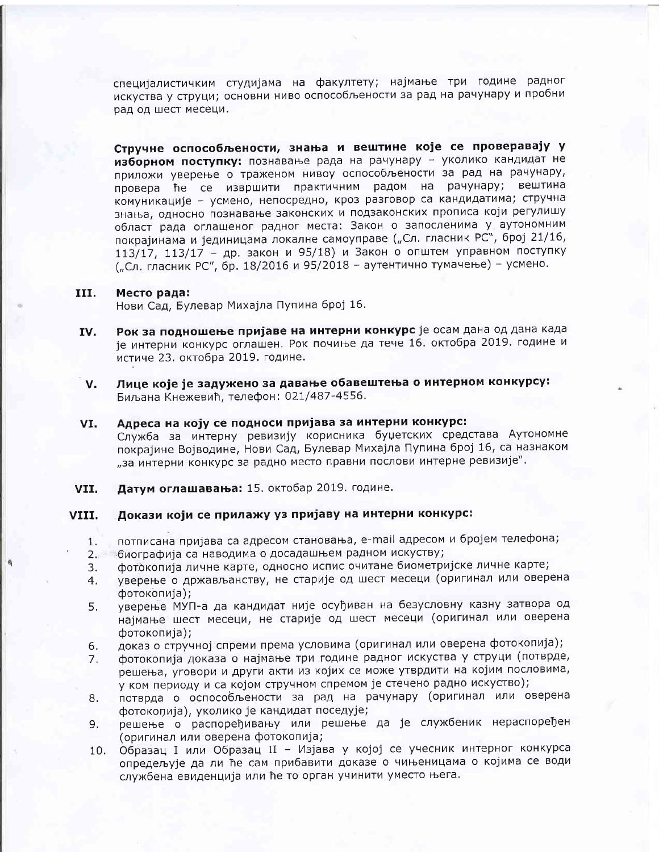специјалистичким студијама на факултету; најмање три године радног искуства у струци; основни ниво оспособљености за рад на рачунару и пробни рад од шест месеци.

Стручне оспособљености, знања и вештине које се проверавају у изборном поступку: познавање рада на рачунару - уколико кандидат не приложи уверење о траженом нивоу оспособљености за рад на рачунару, провера ће се извршити практичним радом на рачунару; вештина комуникације - усмено, непосредно, кроз разговор са кандидатима; стручна знања, односно познавање законских и подзаконских прописа који регулишу област рада оглашеног радног места: Закон о запосленима у аутономним покрајинама и јединицама локалне самоуправе ("Сл. гласник РС", број 21/16, 113/17, 113/17 - др. закон и 95/18) и Закон о општем управном поступку ("Сл. гласник РС", бр. 18/2016 и 95/2018 - аутентично тумачење) - усмено.

#### III. Место рада:

Нови Сад, Булевар Михајла Пупина број 16.

- Рок за подношење пријаве на интерни конкурс је осам дана од дана када IV. је интерни конкурс оглашен. Рок почиње да тече 16. октобра 2019. године и истиче 23. октобра 2019. године.
- Лице које је задужено за давање обавештења о интерном конкурсу: V. Биљана Кнежевић, телефон: 021/487-4556.
- Адреса на коју се подноси пријава за интерни конкурс: VI. Служба за интерну ревизију корисника буџетских средстава Аутономне покрајине Војводине, Нови Сад, Булевар Михајла Пупина број 16, са назнаком "за интерни конкурс за радно место правни послови интерне ревизије".
- Датум оглашавања: 15. октобар 2019. године. VII.

#### Докази који се прилажу уз пријаву на интерни конкурс: VIII.

- потписана пријава са адресом становања, e-mail адресом и бројем телефона; 1.
- биографија са наводима о досадашњем радном искуству; 2.
- фотокопија личне карте, односно испис очитане биометријске личне карте; 3.
- уверење о држављанству, не старије од шест месеци (оригинал или оверена 4. фотокопија);
- уверење МУП-а да кандидат није осуђиван на безусловну казну затвора од 5. најмање шест месеци, не старије од шест месеци (оригинал или оверена фотокопија);
- доказ о стручној спреми према условима (оригинал или оверена фотокопија); 6.
- фотокопија доказа о најмање три године радног искуства у струци (потврде, 7. решења, уговори и други акти из којих се може утврдити на којим пословима, у ком периоду и са којом стручном спремом је стечено радно искуство);
- потврда о оспособљености за рад на рачунару (оригинал или оверена 8. фотокопија), уколико је кандидат поседује;
- решење о распоређивању или решење да је службеник нераспоређен 9. (оригинал или оверена фотокопија;
- Образац I или Образац II Изјава у којој се учесник интерног конкурса  $10.$ опредељује да ли ће сам прибавити доказе о чињеницама о којима се води службена евиденција или ће то орган учинити уместо њега.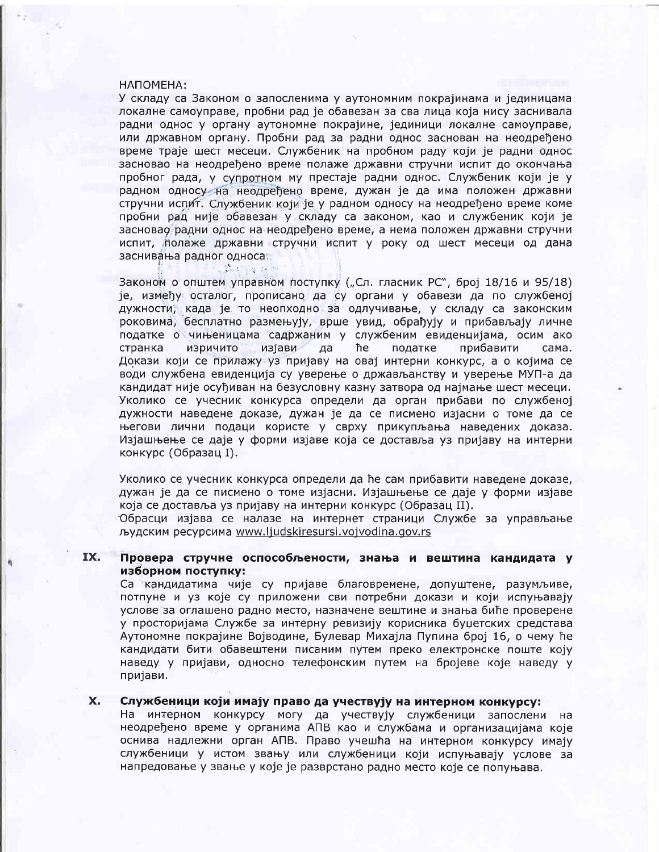### НАПОМЕНА:

У складу са Законом о запосленима у аутономним покрајинама и јединицама локалне самоуправе, пробни рад је обавезан за сва лица која нису заснивала радни однос у органу аутономне покрајине, јединици локалне самоуправе, или државном органу. Пробни рад за радни однос заснован на неодређено време траје шест месеци. Службеник на пробном раду који је радни однос засновао на неодређено време полаже државни стручни испит до окончања пробног рада, у супротном му престаје радни однос. Службеник који је у радном односу на неодређено време, дужан је да има положен државни стручни испит. Службеник који је у радном односу на неодређено време коме пробни рад није обавезан у складу са законом, као и службеник који је засновао радни однос на неодређено време, а нема положен државни стручни испит, полаже државни стручни испит у року од шест месеци од дана заснивања радног односа.

 $15.3 - 4.18$ 

Законом о општем управном поступку ("Сл. гласник РС", број 18/16 и 95/18) је, између осталог, прописано да су органи у обавези да по службеној дужности, када је то неопходно за одлучивање, у складу са законским роковима, бесплатно размењују, врше увид, обрађују и прибављају личне податке о чињеницама садржаним у службеним евиденцијама, осим ако странка изричито изјави ħe податке прибавити сама. да Докази који се прилажу уз пријаву на овај интерни конкурс, а о којима се води службена евиденција су уверење о држављанству и уверење МУП-а да кандидат није осуђиван на безусловну казну затвора од најмање шест месеци. Уколико се учесник конкурса определи да орган прибави по службеној дужности наведене доказе, дужан је да се писмено изјасни о томе да се његови лични подаци користе у сврху прикупљања наведених доказа. Изјашњење се даје у форми изјаве која се доставља уз пријаву на интерни конкурс (Образац I).

Уколико се учесник конкурса определи да ће сам прибавити наведене доказе, дужан је да се писмено о томе изјасни. Изјашњење се даје у форми изјаве која се доставља уз пријаву на интерни конкурс (Образац II).

Обрасци изјава се налазе на интернет страници Службе за управљање људским ресурсима www.ljudskiresursi.vojvodina.gov.rs

### IX. Провера стручне оспособљености, знања и вештина кандидата у изборном поступку:

Са кандидатима чије су пријаве благовремене, допуштене, разумљиве, потпуне и уз које су приложени сви потребни докази и који испуњавају услове за оглашено радно место, назначене вештине и знања биће проверене у просторијама Службе за интерну ревизију корисника буџетских средстава Аутономне покрајине Војводине, Булевар Михајла Пупина број 16, о чему ће кандидати бити обавештени писаним путем преко електронске поште коју наведу у пријави, односно телефонским путем на бројеве које наведу у пријави.

#### X. Службеници који имају право да учествују на интерном конкурсу:

На интерном конкурсу могу да учествују службеници запослени на неодређено време у органима АПВ као и службама и организацијама које оснива надлежни орган АПВ. Право учешћа на интерном конкурсу имају службеници у истом звању или службеници који испуњавају услове за напредовање у звање у које је разврстано радно место које се попуњава.